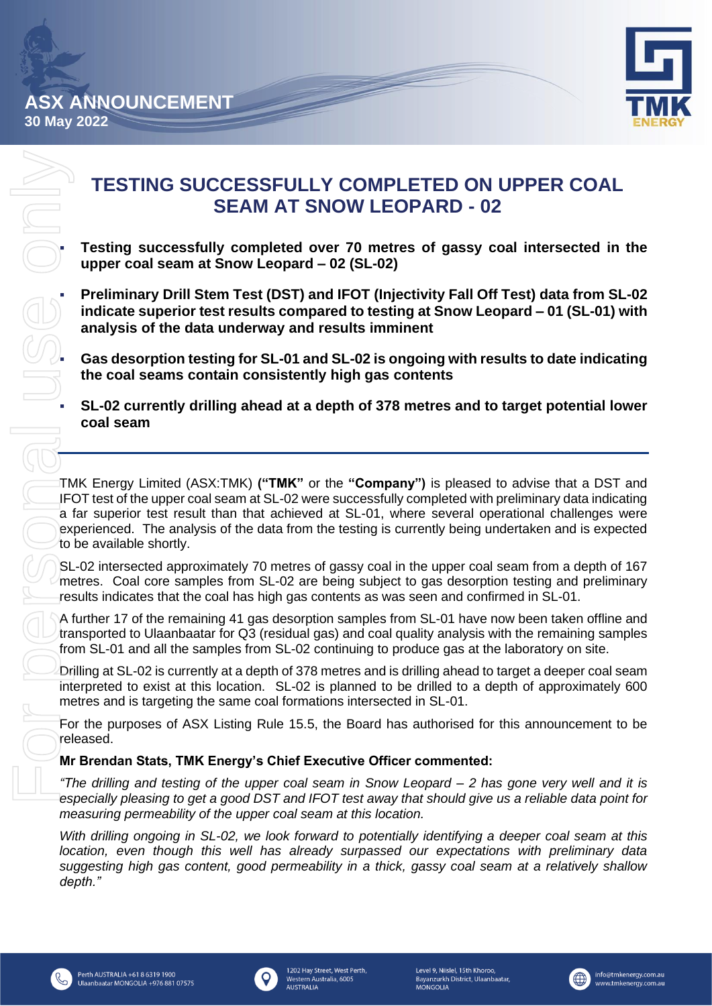

# **TESTING SUCCESSFULLY COMPLETED ON UPPER COAL SEAM AT SNOW LEOPARD - 02**

▪ **Testing successfully completed over 70 metres of gassy coal intersected in the upper coal seam at Snow Leopard – 02 (SL-02)**

▪ **Preliminary Drill Stem Test (DST) and IFOT (Injectivity Fall Off Test) data from SL-02 indicate superior test results compared to testing at Snow Leopard – 01 (SL-01) with analysis of the data underway and results imminent**

▪ **Gas desorption testing for SL-01 and SL-02 is ongoing with results to date indicating the coal seams contain consistently high gas contents**

▪ **SL-02 currently drilling ahead at a depth of 378 metres and to target potential lower coal seam**

TMK Energy Limited (ASX:TMK) **("TMK"** or the **"Company")** is pleased to advise that a DST and IFOT test of the upper coal seam at SL-02 were successfully completed with preliminary data indicating a far superior test result than that achieved at SL-01, where several operational challenges were experienced. The analysis of the data from the testing is currently being undertaken and is expected to be available shortly.

SL-02 intersected approximately 70 metres of gassy coal in the upper coal seam from a depth of 167 metres. Coal core samples from SL-02 are being subject to gas desorption testing and preliminary results indicates that the coal has high gas contents as was seen and confirmed in SL-01.

A further 17 of the remaining 41 gas desorption samples from SL-01 have now been taken offline and transported to Ulaanbaatar for Q3 (residual gas) and coal quality analysis with the remaining samples from SL-01 and all the samples from SL-02 continuing to produce gas at the laboratory on site.

Drilling at SL-02 is currently at a depth of 378 metres and is drilling ahead to target a deeper coal seam interpreted to exist at this location. SL-02 is planned to be drilled to a depth of approximately 600 metres and is targeting the same coal formations intersected in SL-01.

For the purposes of ASX Listing Rule 15.5, the Board has authorised for this announcement to be released.

## **Mr Brendan Stats, TMK Energy's Chief Executive Officer commented:**

*"The drilling and testing of the upper coal seam in Snow Leopard – 2 has gone very well and it is especially pleasing to get a good DST and IFOT test away that should give us a reliable data point for measuring permeability of the upper coal seam at this location.*

*With drilling ongoing in SL-02, we look forward to potentially identifying a deeper coal seam at this location, even though this well has already surpassed our expectations with preliminary data suggesting high gas content, good permeability in a thick, gassy coal seam at a relatively shallow depth."*